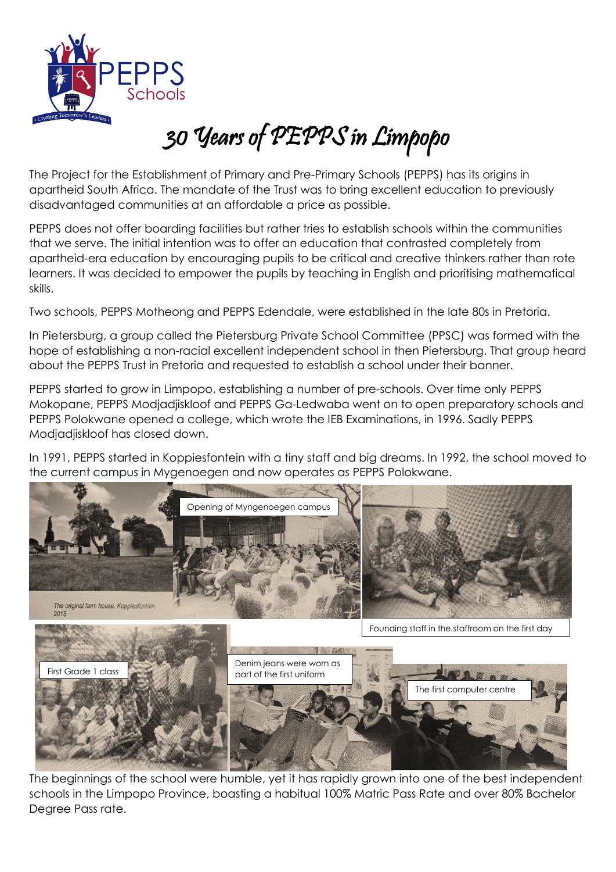

## 30 Years of PEPPS in Limpopo

The Project for the Establishment of Primary and Pre-Primary Schools (PEPPS) has its origins in apartheid South Africa. The mandate of the Trust was to bring excellent education to previously disadvantaged communities at an affordable a price as possible.

PEPPS does not offer boarding facilities but rather tries to establish schools within the communities that we serve. The initial intention was to offer an education that contrasted completely from apartheid-era education by encouraging pupils to be critical and creative thinkers rather than rote learners. It was decided to empower the pupils by teaching in English and prioritising mathematical skills.

Two schools, PEPPS Motheong and PEPPS Edendale, were established in the late 80s in Pretoria.

In Pietersburg, a group called the Pietersburg Private School Committee (PPSC) was formed with the hope of establishing a non-racial excellent independent school in then Pietersburg. That group heard about the PEPPS Trust in Pretoria and requested to establish a school under their banner.

PEPPS started to grow in Limpopo, establishing a number of pre-schools. Over time only PEPPS Mokopane, PEPPS Modjadjiskloof and PEPPS Ga-Ledwaba went on to open preparatory schools and PEPPS Polokwane opened a college, which wrote the IEB Examinations, in 1996. Sadly PEPPS Modjadjiskloof has closed down.

In 1991, PEPPS started in Koppiesfontein with a tiny staff and big dreams. In 1992, the school moved to the current campus in Mygenoegen and now operates as PEPPS Polokwane.



The beginnings of the school were humble, yet it has rapidly grown into one of the best independent schools in the Limpopo Province, boasting a habitual 100% Matric Pass Rate and over 80% Bachelor Degree Pass rate.